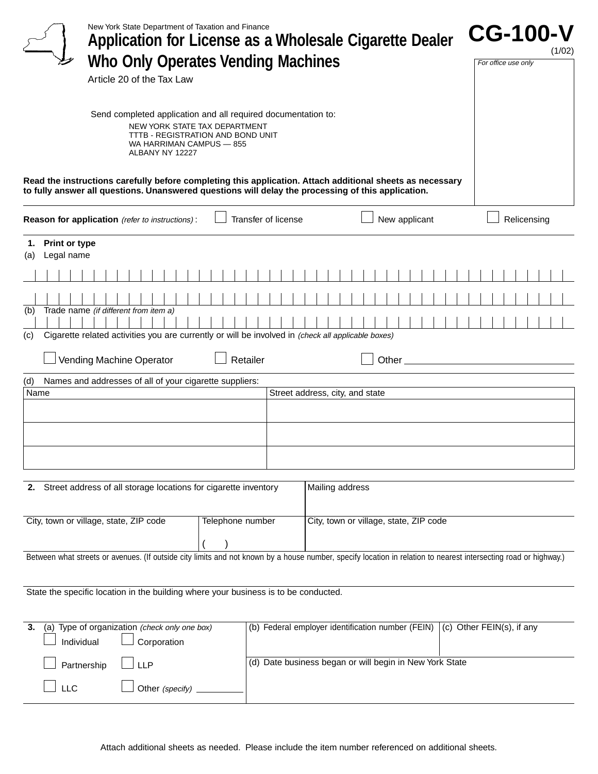|                                       | New York State Department of Taxation and Finance                                                                                           |                                                                                                                                     | Application for License as a Wholesale Cigarette Dealer                                                                                                                                                         | <b>CG-100-V</b><br>(1/02) |
|---------------------------------------|---------------------------------------------------------------------------------------------------------------------------------------------|-------------------------------------------------------------------------------------------------------------------------------------|-----------------------------------------------------------------------------------------------------------------------------------------------------------------------------------------------------------------|---------------------------|
|                                       | Article 20 of the Tax Law                                                                                                                   | Who Only Operates Vending Machines                                                                                                  |                                                                                                                                                                                                                 | For office use only       |
|                                       | WA HARRIMAN CAMPUS - 855<br>ALBANY NY 12227                                                                                                 | Send completed application and all required documentation to:<br>NEW YORK STATE TAX DEPARTMENT<br>TTTB - REGISTRATION AND BOND UNIT |                                                                                                                                                                                                                 |                           |
|                                       |                                                                                                                                             |                                                                                                                                     | Read the instructions carefully before completing this application. Attach additional sheets as necessary<br>to fully answer all questions. Unanswered questions will delay the processing of this application. |                           |
|                                       | Reason for application (refer to instructions):                                                                                             | Transfer of license                                                                                                                 | New applicant                                                                                                                                                                                                   | Relicensing               |
| 1. Print or type<br>Legal name<br>(a) |                                                                                                                                             |                                                                                                                                     |                                                                                                                                                                                                                 |                           |
|                                       |                                                                                                                                             |                                                                                                                                     |                                                                                                                                                                                                                 |                           |
| (b)<br>(c)                            | Trade name (if different from item a)<br>Cigarette related activities you are currently or will be involved in (check all applicable boxes) |                                                                                                                                     |                                                                                                                                                                                                                 |                           |
|                                       | Vending Machine Operator                                                                                                                    | Retailer                                                                                                                            | Other_                                                                                                                                                                                                          |                           |
| (d)                                   | Names and addresses of all of your cigarette suppliers:                                                                                     |                                                                                                                                     |                                                                                                                                                                                                                 |                           |
| Name                                  |                                                                                                                                             |                                                                                                                                     | Street address, city, and state                                                                                                                                                                                 |                           |
|                                       |                                                                                                                                             |                                                                                                                                     |                                                                                                                                                                                                                 |                           |
|                                       |                                                                                                                                             |                                                                                                                                     |                                                                                                                                                                                                                 |                           |
|                                       | 2. Street address of all storage locations for cigarette inventory                                                                          |                                                                                                                                     | Mailing address                                                                                                                                                                                                 |                           |
|                                       | City, town or village, state, ZIP code                                                                                                      | Telephone number                                                                                                                    | City, town or village, state, ZIP code                                                                                                                                                                          |                           |
|                                       |                                                                                                                                             |                                                                                                                                     | Between what streets or avenues. (If outside city limits and not known by a house number, specify location in relation to nearest intersecting road or highway.)                                                |                           |
|                                       |                                                                                                                                             |                                                                                                                                     |                                                                                                                                                                                                                 |                           |
|                                       | State the specific location in the building where your business is to be conducted.                                                         |                                                                                                                                     |                                                                                                                                                                                                                 |                           |
| 3.                                    | (a) Type of organization (check only one box)<br>Corporation<br>Individual                                                                  |                                                                                                                                     | (b) Federal employer identification number (FEIN) $\vert$ (c) Other FEIN(s), if any                                                                                                                             |                           |
|                                       | Partnership<br><b>LLP</b>                                                                                                                   |                                                                                                                                     | (d) Date business began or will begin in New York State                                                                                                                                                         |                           |
| <b>LLC</b>                            | Other (specify)                                                                                                                             |                                                                                                                                     |                                                                                                                                                                                                                 |                           |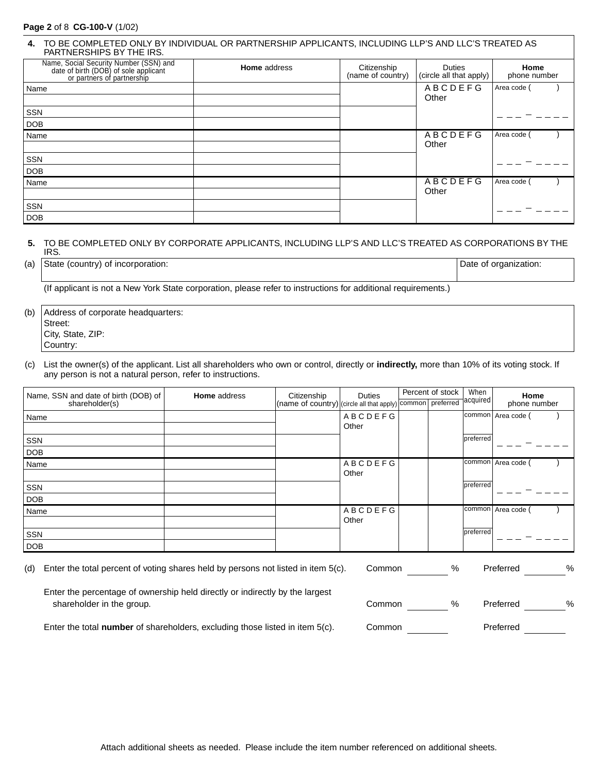## **Page 2** of 8 **CG-100-V** (1/02)

| TO BE COMPLETED ONLY BY INDIVIDUAL OR PARTNERSHIP APPLICANTS, INCLUDING LLP'S AND LLC'S TREATED AS<br>4.<br>PARTNERSHIPS BY THE IRS. |                     |                                  |                                          |                      |  |  |
|--------------------------------------------------------------------------------------------------------------------------------------|---------------------|----------------------------------|------------------------------------------|----------------------|--|--|
| Name, Social Security Number (SSN) and<br>date of birth (DOB) of sole applicant<br>or partners of partnership                        | <b>Home</b> address | Citizenship<br>(name of country) | <b>Duties</b><br>(circle all that apply) | Home<br>phone number |  |  |
| Name                                                                                                                                 |                     |                                  | ABCDEFG<br>Other                         | Area code (          |  |  |
| <b>SSN</b>                                                                                                                           |                     |                                  |                                          |                      |  |  |
| <b>DOB</b>                                                                                                                           |                     |                                  |                                          |                      |  |  |
| Name                                                                                                                                 |                     |                                  | <b>ABCDEFG</b><br>Other                  | Area code (          |  |  |
| <b>SSN</b>                                                                                                                           |                     |                                  |                                          |                      |  |  |
| <b>DOB</b>                                                                                                                           |                     |                                  |                                          |                      |  |  |
| Name                                                                                                                                 |                     |                                  | <b>ABCDEFG</b><br>Other                  | Area code            |  |  |
| SSN                                                                                                                                  |                     |                                  |                                          |                      |  |  |
| <b>DOB</b>                                                                                                                           |                     |                                  |                                          |                      |  |  |

#### **5.** TO BE COMPLETED ONLY BY CORPORATE APPLICANTS, INCLUDING LLP'S AND LLC'S TREATED AS CORPORATIONS BY THE IRS.

(a) State (country) of incorporation:  $\Box$  Date of organization:  $\Box$ 

(If applicant is not a New York State corporation, please refer to instructions for additional requirements.)

(b) Address of corporate headquarters: Street: City, State, ZIP: Country:

(c) List the owner(s) of the applicant. List all shareholders who own or control, directly or **indirectly,** more than 10% of its voting stock. If any person is not a natural person, refer to instructions.

| Name, SSN and date of birth (DOB) of | <b>Home</b> address | Citizenship                                                         | Duties         | Percent of stock | When      | Home               |
|--------------------------------------|---------------------|---------------------------------------------------------------------|----------------|------------------|-----------|--------------------|
| shareholder(s)                       |                     | (name of country) (circle all that apply) common preferred acquired |                |                  |           | phone number       |
| Name                                 |                     |                                                                     | <b>ABCDEFG</b> |                  |           | common Area code ( |
|                                      |                     |                                                                     | Other          |                  |           |                    |
| SSN                                  |                     |                                                                     |                |                  | preferred |                    |
| <b>DOB</b>                           |                     |                                                                     |                |                  |           |                    |
| Name                                 |                     |                                                                     | <b>ABCDEFG</b> |                  |           | common Area code   |
|                                      |                     |                                                                     | Other          |                  |           |                    |
| SSN                                  |                     |                                                                     |                |                  | preferred |                    |
| DOB                                  |                     |                                                                     |                |                  |           |                    |
| Name                                 |                     |                                                                     | <b>ABCDEFG</b> |                  | common    | Area code          |
|                                      |                     |                                                                     | Other          |                  |           |                    |
| SSN                                  |                     |                                                                     |                |                  | preferred |                    |
| DOB                                  |                     |                                                                     |                |                  |           |                    |

(d) Enter the total percent of voting shares held by persons not listed in item 5(c). Common % Preferred %

Enter the percentage of ownership held directly or indirectly by the largest shareholder in the group. Common was preferred with the group.

| Common: | % | Preferred | % |
|---------|---|-----------|---|
| Common: |   | Preferred |   |

Enter the total **number** of shareholders, excluding those listed in item 5(c). C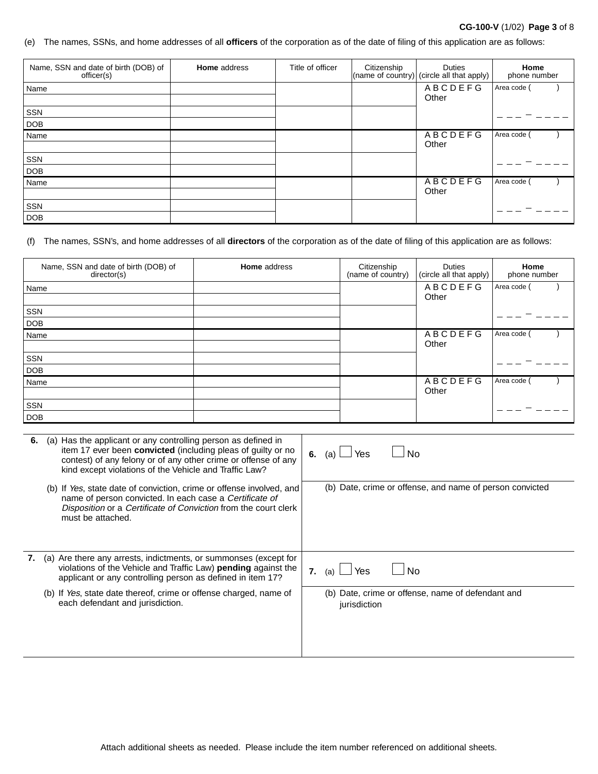## **CG-100-V** (1/02) **Page 3** of 8

#### (e) The names, SSNs, and home addresses of all **officers** of the corporation as of the date of filing of this application are as follows:

| Name, SSN and date of birth (DOB) of<br>officer(s) | <b>Home</b> address | Title of officer | Citizenship | <b>Duties</b><br>(name of country) (circle all that apply) | Home<br>phone number |
|----------------------------------------------------|---------------------|------------------|-------------|------------------------------------------------------------|----------------------|
| Name                                               |                     |                  |             | <b>ABCDEFG</b><br>Other                                    | Area code (          |
| SSN                                                |                     |                  |             |                                                            |                      |
| <b>DOB</b>                                         |                     |                  |             |                                                            |                      |
| Name                                               |                     |                  |             | <b>ABCDEFG</b><br>Other                                    | Area code (          |
| SSN                                                |                     |                  |             |                                                            |                      |
| <b>DOB</b>                                         |                     |                  |             |                                                            |                      |
| Name                                               |                     |                  |             | <b>ABCDEFG</b><br>Other                                    | Area code            |
| SSN                                                |                     |                  |             |                                                            |                      |
| DOB                                                |                     |                  |             |                                                            |                      |

## (f) The names, SSN's, and home addresses of all **directors** of the corporation as of the date of filing of this application are as follows:

| Name, SSN and date of birth (DOB) of<br>director(s) | <b>Home</b> address | Citizenship<br>(name of country) | <b>Duties</b><br>(circle all that apply) | Home<br>phone number |
|-----------------------------------------------------|---------------------|----------------------------------|------------------------------------------|----------------------|
| Name                                                |                     |                                  | <b>ABCDEFG</b>                           | Area code (          |
|                                                     |                     |                                  | Other                                    |                      |
| <b>SSN</b>                                          |                     |                                  |                                          |                      |
| <b>DOB</b>                                          |                     |                                  |                                          |                      |
| Name                                                |                     |                                  | ABCDEFG                                  | Area code            |
|                                                     |                     |                                  | Other                                    |                      |
| SSN                                                 |                     |                                  |                                          |                      |
| <b>DOB</b>                                          |                     |                                  |                                          |                      |
| Name                                                |                     |                                  | <b>ABCDEFG</b>                           | Area code            |
|                                                     |                     |                                  | Other                                    |                      |
| SSN                                                 |                     |                                  |                                          |                      |
| <b>DOB</b>                                          |                     |                                  |                                          |                      |

| 6. | (a) Has the applicant or any controlling person as defined in<br>item 17 ever been convicted (including pleas of guilty or no<br>contest) of any felony or of any other crime or offense of any<br>kind except violations of the Vehicle and Traffic Law? | $\Box$ Yes<br>N <sub>0</sub><br>6.<br>(a)                         |
|----|-----------------------------------------------------------------------------------------------------------------------------------------------------------------------------------------------------------------------------------------------------------|-------------------------------------------------------------------|
|    | (b) If Yes, state date of conviction, crime or offense involved, and<br>name of person convicted. In each case a Certificate of<br>Disposition or a Certificate of Conviction from the court clerk<br>must be attached.                                   | (b) Date, crime or offense, and name of person convicted          |
| 7. | (a) Are there any arrests, indictments, or summonses (except for<br>violations of the Vehicle and Traffic Law) pending against the<br>applicant or any controlling person as defined in item 17?                                                          | 7. (a) $\Box$ Yes<br>No                                           |
|    | (b) If Yes, state date thereof, crime or offense charged, name of<br>each defendant and jurisdiction.                                                                                                                                                     | (b) Date, crime or offense, name of defendant and<br>jurisdiction |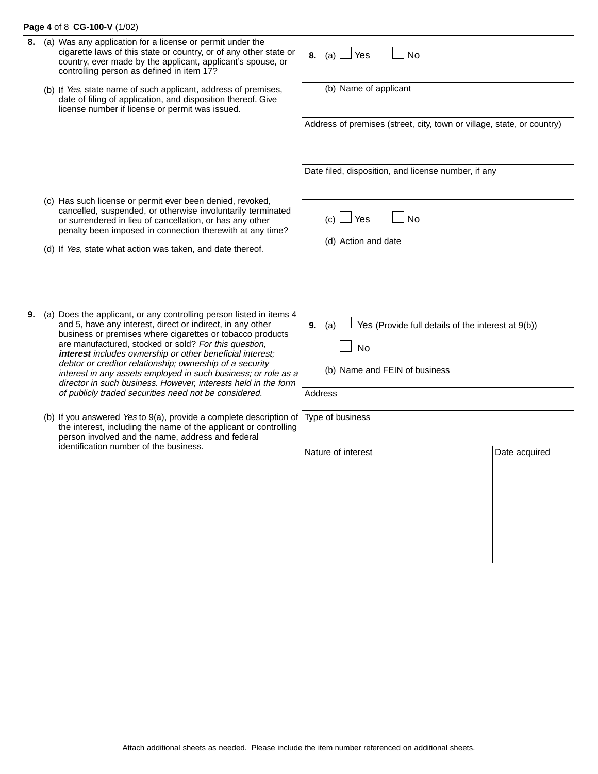## **Page 4** of 8 **CG-100-V** (1/02)

| 8. | (a) Was any application for a license or permit under the<br>cigarette laws of this state or country, or of any other state or<br>country, ever made by the applicant, applicant's spouse, or<br>controlling person as defined in item 17?                                                                           | 8. (a) $\Box$ Yes<br><b>No</b>                                            |               |
|----|----------------------------------------------------------------------------------------------------------------------------------------------------------------------------------------------------------------------------------------------------------------------------------------------------------------------|---------------------------------------------------------------------------|---------------|
|    | (b) If Yes, state name of such applicant, address of premises,<br>date of filing of application, and disposition thereof. Give<br>license number if license or permit was issued.                                                                                                                                    | (b) Name of applicant                                                     |               |
|    |                                                                                                                                                                                                                                                                                                                      | Address of premises (street, city, town or village, state, or country)    |               |
|    |                                                                                                                                                                                                                                                                                                                      | Date filed, disposition, and license number, if any                       |               |
|    | (c) Has such license or permit ever been denied, revoked,<br>cancelled, suspended, or otherwise involuntarily terminated<br>or surrendered in lieu of cancellation, or has any other<br>penalty been imposed in connection therewith at any time?                                                                    | $(c)$ $\Box$ Yes<br><b>No</b>                                             |               |
|    | (d) If Yes, state what action was taken, and date thereof.                                                                                                                                                                                                                                                           | (d) Action and date                                                       |               |
|    |                                                                                                                                                                                                                                                                                                                      |                                                                           |               |
| 9. | (a) Does the applicant, or any controlling person listed in items 4<br>and 5, have any interest, direct or indirect, in any other<br>business or premises where cigarettes or tobacco products<br>are manufactured, stocked or sold? For this question,<br>interest includes ownership or other beneficial interest; | Yes (Provide full details of the interest at 9(b))<br>9. (a)<br><b>No</b> |               |
|    | debtor or creditor relationship; ownership of a security<br>interest in any assets employed in such business; or role as a<br>director in such business. However, interests held in the form                                                                                                                         | (b) Name and FEIN of business                                             |               |
|    | of publicly traded securities need not be considered.                                                                                                                                                                                                                                                                | <b>Address</b>                                                            |               |
|    | (b) If you answered Yes to 9(a), provide a complete description of<br>the interest, including the name of the applicant or controlling<br>person involved and the name, address and federal                                                                                                                          | Type of business                                                          |               |
|    | identification number of the business.                                                                                                                                                                                                                                                                               | Nature of interest                                                        | Date acquired |
|    |                                                                                                                                                                                                                                                                                                                      |                                                                           |               |
|    |                                                                                                                                                                                                                                                                                                                      |                                                                           |               |
|    |                                                                                                                                                                                                                                                                                                                      |                                                                           |               |
|    |                                                                                                                                                                                                                                                                                                                      |                                                                           |               |
|    |                                                                                                                                                                                                                                                                                                                      |                                                                           |               |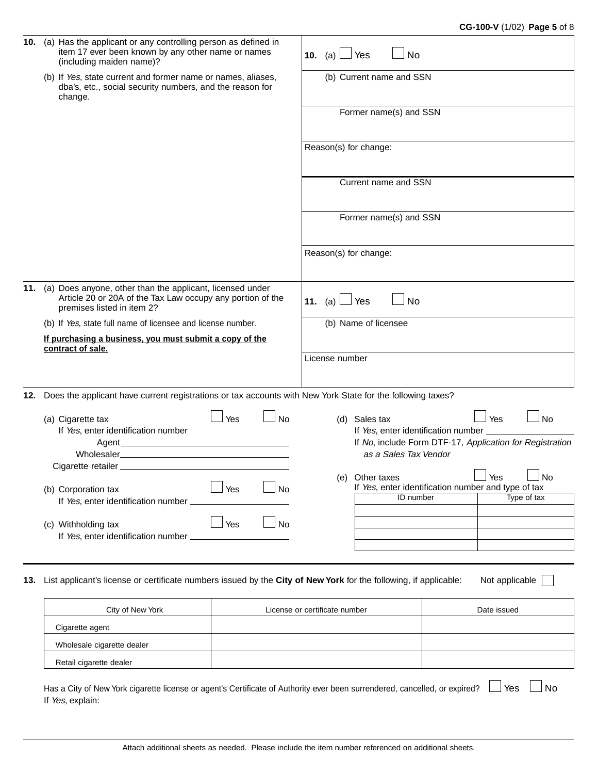| 10. | (a) Has the applicant or any controlling person as defined in<br>item 17 ever been known by any other name or names<br>(including maiden name)?       |                  | 10. (a) $\Box$ Yes            | <b>No</b>                           |                                                                   |           |
|-----|-------------------------------------------------------------------------------------------------------------------------------------------------------|------------------|-------------------------------|-------------------------------------|-------------------------------------------------------------------|-----------|
|     | (b) If Yes, state current and former name or names, aliases,<br>dba's, etc., social security numbers, and the reason for<br>change.                   |                  |                               | (b) Current name and SSN            |                                                                   |           |
|     |                                                                                                                                                       |                  |                               | Former name(s) and SSN              |                                                                   |           |
|     |                                                                                                                                                       |                  | Reason(s) for change:         |                                     |                                                                   |           |
|     |                                                                                                                                                       |                  |                               | Current name and SSN                |                                                                   |           |
|     |                                                                                                                                                       |                  |                               | Former name(s) and SSN              |                                                                   |           |
|     |                                                                                                                                                       |                  | Reason(s) for change:         |                                     |                                                                   |           |
| 11. | (a) Does anyone, other than the applicant, licensed under<br>Article 20 or 20A of the Tax Law occupy any portion of the<br>premises listed in item 2? |                  | 11. (a) $\Box$ Yes            | <b>No</b>                           |                                                                   |           |
|     | (b) If Yes, state full name of licensee and license number.                                                                                           |                  |                               | (b) Name of licensee                |                                                                   |           |
|     | If purchasing a business, you must submit a copy of the                                                                                               |                  |                               |                                     |                                                                   |           |
|     | contract of sale.                                                                                                                                     |                  | License number                |                                     |                                                                   |           |
|     |                                                                                                                                                       |                  |                               |                                     |                                                                   |           |
|     |                                                                                                                                                       |                  |                               |                                     |                                                                   |           |
|     | 12. Does the applicant have current registrations or tax accounts with New York State for the following taxes?                                        |                  |                               |                                     |                                                                   |           |
|     | (a) Cigarette tax                                                                                                                                     | Yes<br><b>No</b> |                               | (d) Sales tax                       | Yes                                                               | $\Box$ No |
|     | If Yes, enter identification number                                                                                                                   |                  |                               | If Yes, enter identification number | If No, include Form DTF-17, Application for Registration          |           |
|     |                                                                                                                                                       |                  |                               | as a Sales Tax Vendor               |                                                                   |           |
|     |                                                                                                                                                       |                  |                               |                                     |                                                                   |           |
|     | (b) Corporation tax                                                                                                                                   | Yes<br><b>No</b> |                               | (e) Other taxes                     | $\Box$ Yes<br>If Yes, enter identification number and type of tax | $\Box$ No |
|     | If Yes, enter identification number _                                                                                                                 |                  |                               | ID number                           | Type of tax                                                       |           |
|     |                                                                                                                                                       | Yes<br>No        |                               |                                     |                                                                   |           |
|     | (c) Withholding tax<br>If Yes, enter identification number                                                                                            |                  |                               |                                     |                                                                   |           |
|     |                                                                                                                                                       |                  |                               |                                     |                                                                   |           |
|     |                                                                                                                                                       |                  |                               |                                     |                                                                   |           |
| 13. | List applicant's license or certificate numbers issued by the City of New York for the following, if applicable:                                      |                  |                               |                                     | Not applicable                                                    |           |
|     | City of New York                                                                                                                                      |                  | License or certificate number |                                     | Date issued                                                       |           |
|     | Cigarette agent                                                                                                                                       |                  |                               |                                     |                                                                   |           |
|     | Wholesale cigarette dealer                                                                                                                            |                  |                               |                                     |                                                                   |           |
|     | Retail cigarette dealer                                                                                                                               |                  |                               |                                     |                                                                   |           |
|     | Has a City of New York cigarette license or agent's Certificate of Authority ever been surrendered, cancelled, or expired?                            |                  |                               |                                     | l Yes                                                             | No        |
|     | If Yes, explain:                                                                                                                                      |                  |                               |                                     |                                                                   |           |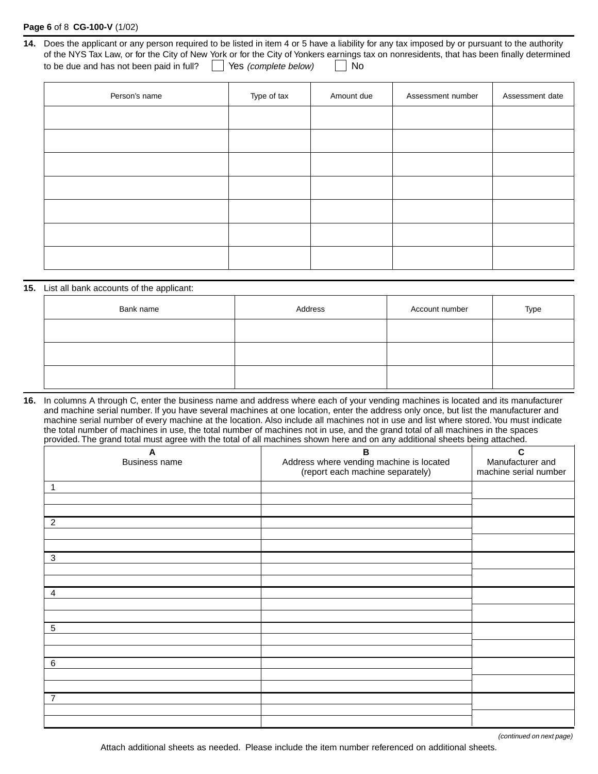### **Page 6** of 8 **CG-100-V** (1/02)

| 14. Does the applicant or any person required to be listed in item 4 or 5 have a liability for any tax imposed by or pursuant to the authority |
|------------------------------------------------------------------------------------------------------------------------------------------------|
| of the NYS Tax Law, or for the City of New York or for the City of Yonkers earnings tax on nonresidents, that has been finally determined      |
| $\vert$ Yes (complete below) $\vert$<br>∣No<br>to be due and has not been paid in full?                                                        |

| Person's name | Type of tax | Amount due | Assessment number | Assessment date |
|---------------|-------------|------------|-------------------|-----------------|
|               |             |            |                   |                 |
|               |             |            |                   |                 |
|               |             |            |                   |                 |
|               |             |            |                   |                 |
|               |             |            |                   |                 |
|               |             |            |                   |                 |
|               |             |            |                   |                 |

#### **15.** List all bank accounts of the applicant:

| Bank name | Address | Account number | Type |
|-----------|---------|----------------|------|
|           |         |                |      |
|           |         |                |      |
|           |         |                |      |

**16.** In columns A through C, enter the business name and address where each of your vending machines is located and its manufacturer and machine serial number. If you have several machines at one location, enter the address only once, but list the manufacturer and machine serial number of every machine at the location. Also include all machines not in use and list where stored. You must indicate the total number of machines in use, the total number of machines not in use, and the grand total of all machines in the spaces provided. The grand total must agree with the total of all machines shown here and on any additional sheets being attached.

| $\boldsymbol{A}$<br>Business name | $\mathbf B$<br>Address where vending machine is located<br>(report each machine separately) | C<br>Manufacturer and<br>machine serial number |
|-----------------------------------|---------------------------------------------------------------------------------------------|------------------------------------------------|
| 1                                 |                                                                                             |                                                |
|                                   |                                                                                             |                                                |
| $\overline{2}$                    |                                                                                             |                                                |
|                                   |                                                                                             |                                                |
| 3                                 |                                                                                             |                                                |
|                                   |                                                                                             |                                                |
| $\overline{a}$                    |                                                                                             |                                                |
|                                   |                                                                                             |                                                |
| $\sqrt{5}$                        |                                                                                             |                                                |
|                                   |                                                                                             |                                                |
| $\,6$                             |                                                                                             |                                                |
|                                   |                                                                                             |                                                |
| 7                                 |                                                                                             |                                                |
|                                   |                                                                                             |                                                |

(continued on next page)

Attach additional sheets as needed. Please include the item number referenced on additional sheets.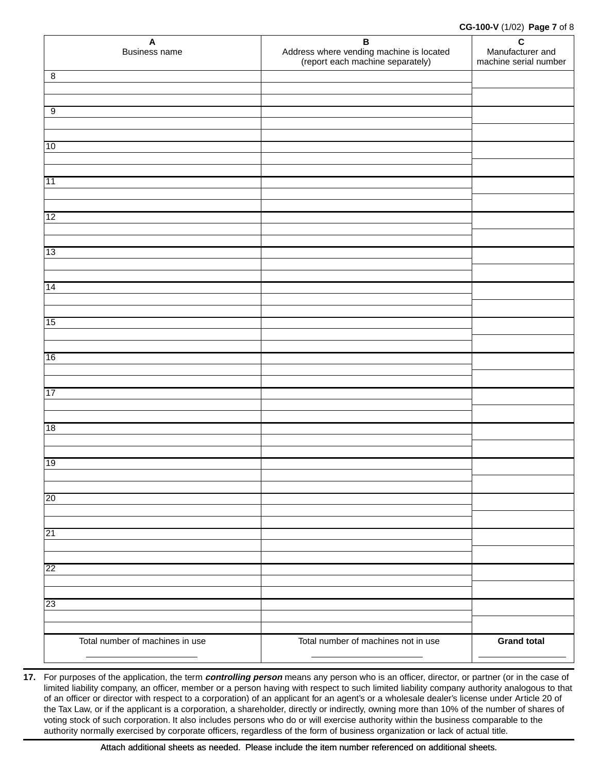#### **CG-100-V** (1/02) **Page 7** of 8

| $\mathsf{A}$<br>Business name   | B<br>Address where vending machine is located<br>(report each machine separately) | $\mathbf c$<br>Manufacturer and<br>machine serial number |
|---------------------------------|-----------------------------------------------------------------------------------|----------------------------------------------------------|
| $\overline{8}$                  |                                                                                   |                                                          |
|                                 |                                                                                   |                                                          |
| $\overline{9}$                  |                                                                                   |                                                          |
|                                 |                                                                                   |                                                          |
| 10                              |                                                                                   |                                                          |
|                                 |                                                                                   |                                                          |
| 11                              |                                                                                   |                                                          |
|                                 |                                                                                   |                                                          |
| $ 12\rangle$                    |                                                                                   |                                                          |
|                                 |                                                                                   |                                                          |
| 13                              |                                                                                   |                                                          |
|                                 |                                                                                   |                                                          |
| 14                              |                                                                                   |                                                          |
|                                 |                                                                                   |                                                          |
|                                 |                                                                                   |                                                          |
| 15                              |                                                                                   |                                                          |
|                                 |                                                                                   |                                                          |
| 16                              |                                                                                   |                                                          |
|                                 |                                                                                   |                                                          |
| 17                              |                                                                                   |                                                          |
|                                 |                                                                                   |                                                          |
| 18                              |                                                                                   |                                                          |
|                                 |                                                                                   |                                                          |
| 19                              |                                                                                   |                                                          |
|                                 |                                                                                   |                                                          |
| 20                              |                                                                                   |                                                          |
|                                 |                                                                                   |                                                          |
| 21                              |                                                                                   |                                                          |
|                                 |                                                                                   |                                                          |
| $\overline{22}$                 |                                                                                   |                                                          |
|                                 |                                                                                   |                                                          |
| 23                              |                                                                                   |                                                          |
|                                 |                                                                                   |                                                          |
| Total number of machines in use | Total number of machines not in use                                               | <b>Grand total</b>                                       |
|                                 |                                                                                   |                                                          |

**17.** For purposes of the application, the term **controlling person** means any person who is an officer, director, or partner (or in the case of limited liability company, an officer, member or a person having with respect to such limited liability company authority analogous to that of an officer or director with respect to a corporation) of an applicant for an agent's or a wholesale dealer's license under Article 20 of the Tax Law, or if the applicant is a corporation, a shareholder, directly or indirectly, owning more than 10% of the number of shares of voting stock of such corporation. It also includes persons who do or will exercise authority within the business comparable to the authority normally exercised by corporate officers, regardless of the form of business organization or lack of actual title.